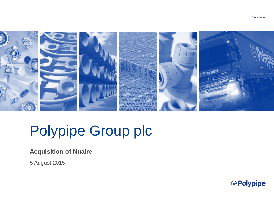

# Polypipe Group plc

**Acquisition of Nuaire**

5 August 2015

<sup>@</sup> Polypipe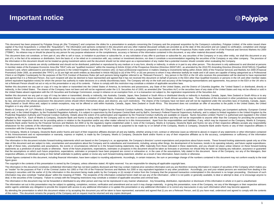### **Important notice**

<sup>②</sup> Polypipe

This document has been prepared by Polypipe Group plc (the "Company") and comprises the slides for a presentation to analysts concerning the Company and the proposed acquisition by the Company's subsidiary, Polypipe Limite capital of Nu-Oval Acquisitions 1 Limited (the "Acquisition"). The information and opinions contained in this document and any other material discussed verbally are provided as at the date of this document and are subject without notice. This document has not been approved by the UK Financial Conduct Authority (the "FCA"). This document is not a prospectus prepared in accordance with the Prospectus Rules made under Part VI of the Financial ("FSMA"). No reliance may or should be placed by any person for any purpose whatsoever on the completeness, accuracy or fairness of the information contained in this document, or any other material discussed verbally.

This document does not constitute, or form part of, any offer to sell or issue, or invitation to purchase or subscribe for, or any solicitation of any offer to purchase or subscribe for, any securities of the Company or in part of it, or the fact of its existence or distribution, form the basis of, or be relied on in connection with, any contract or investment decision, nor does it constitute a recommendation regarding the securities of the the information in this document should not be treated as giving investment advice and the document should not be relied upon as a representation of any matter that a potential investor should consider when evaluating the

This document and its contents are strictly confidential and should not be distributed, published or reproduced by any medium or in any form, directly or indirectly, in whole or in part to any other person. This document i in member states of the European Economic Area (the "EEA") who are "qualified investors" within the meaning of Article 2(1)(e) of the Prospectus Directive (Directive 2003/71/EC, as amended by the 2010 PD Amending Directive Investors") and, where addressed to and directed to persons in the United Kingdom, to qualified investors who: (i) have professional experience in matters relating to investments falling within Article 19(5) of the Financi Promotion) Order 2005, as amended (the "FPO"); or (ii) are high net worth entities as described in Article 49(2)(a) to (d) of the FPO; or (iii) are persons to whom it may otherwise lawfully be made and in all cases are cap Client or an Eligible Counterparty for the purposes of the FCA Conduct of Business Rules (all such persons being together referred to as "Relevant Persons"). Any person in the EEA or the UK who receives this presentation w and agreed that it is a Relevant Person. Any such recipient will also be deemed to have represented and agreed that it has not received this document on behalf of persons in the EEA other than Qualified Investors or person (where equivalent legislation exists) for whom the person has authority to make decisions on a wholly discretionary basis. The Company will rely on the truth and accuracy of the foregoing representations and agreements. An not a Relevant Person should not act or rely on this presentation or any of its contents. Failure to comply with this restriction may constitute a violation of applicable securities laws.

Neither this document nor any part or copy of it may be taken or transmitted into the United States of America, its territories and possessions, any State of the United States, and the District of Columbia (together, the " indirectly, in the United States. The shares of the Company have not been and will not be registered under the U.S. Securities Act of 1933, as amended (the "Securities Act") or the securities laws of any state of the Unite the United States absent registration with the US Securities and Exchange Commission, except in reliance on an exemption from, or in a transaction not subject to, the registration requirements of the Securities Act.

Neither this document nor any part or copy of it may be taken or transmitted, directly or indirectly, into Australia, Canada, Japan, New Zealand or South Africa or distributed directly on indirectly in Australia. Canada, J resident thereof. Any failure to comply with the above restrictions may constitute a violation of United States, Australian, Canadian, Japanese, New Zealand or South African securities laws. The distribution of this docume by law, and persons into whose possession this document comes should inform themselves about, and observe, any such restrictions. The shares of the Company have not been and will not be registered under the securities laws New Zealand or South Africa and, subject to certain exceptions, may not be offered or sold within Australia, Canada, Japan, New Zealand or South Africa. This document does not constitute an offer of securities to the publi Kingdom or in any other jurisdiction.

Moelis & Company UK LLP ("Moelis & Company") is authorised and regulated in the United Kingdom by the Financial Conduct Authority. Deutsche Bank AG ("Deutsche Bank") is authorised under German Banking Law (competent author bank) and, in the United Kingdom, by the Prudential Regulation Authority. It is subject to supervision by the European Central Bank and by BaFin, Germany's Federal Financial Supervisory Authority, and is subject to limited Prudential Regulation Authority and Financial Conduct Authority. Details about the extent of its authorisation and regulation by the Financial Conduct Authority are available on request. Numis Securities Limited ("Numis") Kingdom by the FCA. Each of Moelis & Company, Deutsche Bank and Numis is acting solely for the Company and no one else in connection with the Acquisition and they will not be responsible to anyone other than the Company fo afforded to their respective clients nor for providing advice in relation to the Acquisition and/or any other matter referred to in this Announcement. Apart from the responsibilities and liabilities, if any, which may be i Deutsche Bank and/or Numis by the Financial Services and Markets Act 2000 or by the regulatory regime established under it, none of the Company, Moelis & Company, Deutsche Bank and Numis nor any of their respective affilia whatsoever for the contents of the information contained in this Announcement or for any other statement made or purported to be made by or on behalf of the Company. Moelis & Company. Deutsche Bank and/or Numis or any of t connection with the Company or the Acquisition.

The Company, Moelis & Company, Deutsche Bank and/or Numis and each of their respective affiliates disclaim all and any liability, whether arising in tort, contract or otherwise (save as referred to above) in respect of any in this Announcement and no representation or warranty, express or implied, is made by the Company, Moelis & Company, Deutsche Bank and/or Numis or any of their respective affiliates as to the accuracy, completeness or suf contained in this Announcement.

The information in this document includes forward-looking statements which are based on the Company's or, as appropriate, the Company's directors' current expectations and projections about future events. These forward-loo date of this document and are subject to risks, uncertainties and assumptions about the Company and its subsidiaries and investments, including, among other things, the development of its business, trends in its operating In light of these risks, uncertainties and assumptions, the events or circumstances referred to in the forward-looking statements may differ materially from those indicated in these statements, and you should not place und statements as a prediction of actual results or otherwise. None of the future projections, expectations, estimates or prospects in this document should be taken as forecasts or promises nor should they be taken as implying that the assumptions on which such future projections, expectations, estimates or prospects have been prepared are correct or exhaustive or, in the case of the assumptions, fully stated in this document. None of the Compan respective affiliates, or individuals acting on their behalf undertake to publicly update or revise any such forward-looking statement, whether as a result of new information, future events or otherwise.

Certain figures contained in this document, including financial information, have been subject to rounding adjustments. Accordingly, in certain instances, the sum or percentage change of the numbers contained in this docum figure given.

The copyright in the contents of this presentation is owned by the Company, unless otherwise stated. All rights reserved. You are responsible for obeying all applicable copyright laws.

The information in this document constitutes confidential information that has not been publicly disclosed and that may contain material price sensitive information and you are therefore receiving information in respect of an "insider" for the purposes of Part V of the Criminal Justice Act 1993 or Part VIII of the Financial Services and Markets Act 2000 or any equivalent legislation in any other jurisdiction. Accordingly, you and your relate Company's securities until the earlier of (i) the information in this document being made public by the Company or (ii) receipt of notice from the Company that the proposed transaction contemplated in this document is no l information may also constitute "market abuse" within the meaning of FSMA. The recipients of the information contained herein shall not use any of the information, while it is not public or generally available, to deal or deal, in the securities of the Company. Failure to comply with the foregoing restrictions may constitute a violation of applicable securities and criminal laws.

The information in this document may not be forwarded or distributed to any other person and may not be reproduced in any manner whatsoever. Any forwarding, distribution, reproduction or disclosure of this information in w

The information set out in this presentation may be subject to updating, completion, revision, verification and amendment and as such it may change materially. In giving this presentation, none of the Company, nor any of t and/or agents undertake any obligation to provide the recipient with access to any additional information or to update this presentation or any additional information or to correct any inaccuracies in any such information

By attending the presentation to which this document relates or by accepting this document you will be taken to have represented, warranted and agreed that (i) you are a Relevant Person, and (ii) you have read, understood of this notice. This document remains the property of the Company and on request must be returned and any copies destroyed.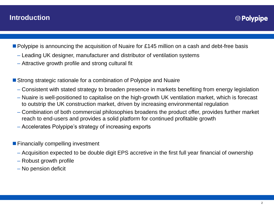- **Polypipe is announcing the acquisition of Nuaire for £145 million on a cash and debt-free basis** 
	- Leading UK designer, manufacturer and distributor of ventilation systems
	- Attractive growth profile and strong cultural fit
- Strong strategic rationale for a combination of Polypipe and Nuaire
	- Consistent with stated strategy to broaden presence in markets benefiting from energy legislation
	- Nuaire is well-positioned to capitalise on the high-growth UK ventilation market, which is forecast to outstrip the UK construction market, driven by increasing environmental regulation
	- Combination of both commercial philosophies broadens the product offer, provides further market reach to end-users and provides a solid platform for continued profitable growth
	- Accelerates Polypipe's strategy of increasing exports
- **Financially compelling investment** 
	- Acquisition expected to be double digit EPS accretive in the first full year financial of ownership
	- Robust growth profile
	- No pension deficit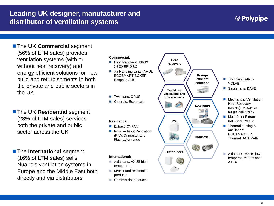### **Leading UK designer, manufacturer and distributor of ventilation systems**

# <sup>②</sup> Polypipe

**The UK Commercial segment** (56% of LTM sales) provides ventilation systems (with or without heat recovery) and energy efficient solutions for new build and refurbishments in both the private and public sectors in the UK

**The UK Residential segment** (28% of LTM sales) services both the private and public sector across the UK

**The International segment** (16% of LTM sales) sells Nuaire's ventilation systems in Europe and the Middle East both directly and via distributors

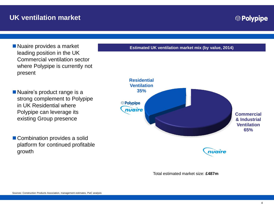Nuaire provides a market leading position in the UK Commercial ventilation sector where Polypipe is currently not present

Nuaire's product range is a strong complement to Polypipe in UK Residential where Polypipe can leverage its existing Group presence

■ Combination provides a solid platform for continued profitable growth

**Estimated UK ventilation market mix (by value, 2014)**



Total estimated market size: **£487m**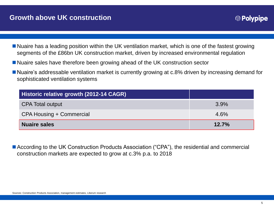### **Growth above UK construction**

- Nuaire has a leading position within the UK ventilation market, which is one of the fastest growing segments of the £86bn UK construction market, driven by increased environmental regulation
- Nuaire sales have therefore been growing ahead of the UK construction sector
- Nuaire's addressable ventilation market is currently growing at c.8% driven by increasing demand for sophisticated ventilation systems

| Historic relative growth (2012-14 CAGR) |       |
|-----------------------------------------|-------|
| <b>CPA Total output</b>                 | 3.9%  |
| CPA Housing + Commercial                | 4.6%  |
| <b>Nuaire sales</b>                     | 12.7% |

■ According to the UK Construction Products Association ("CPA"), the residential and commercial construction markets are expected to grow at c.3% p.a. to 2018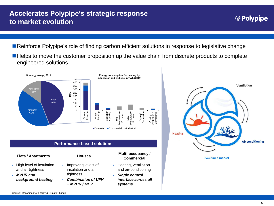### **Accelerates Polypipe's strategic response to market evolution**

- Reinforce Polypipe's role of finding carbon efficient solutions in response to legislative change
- Helps to move the customer proposition up the value chain from discrete products to complete engineered solutions



### **Performance-based solutions**

- High level of insulation and air tightness
- *MVHR and background heating*

- **Improving levels of** insulation and air tightness
- *Combination of UFH + MVHR / MEV*

### **Flats / Apartments Houses Multi-occupancy / Commercial**

- **Heating, ventilation** and air-conditioning
- *Single control interface across all systems*



**Combined market**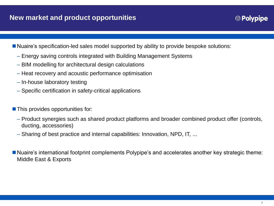- Nuaire's specification-led sales model supported by ability to provide bespoke solutions:
	- Energy saving controls integrated with Building Management Systems
	- BIM modelling for architectural design calculations
	- Heat recovery and acoustic performance optimisation
	- In-house laboratory testing
	- Specific certification in safety-critical applications
- **This provides opportunities for:** 
	- Product synergies such as shared product platforms and broader combined product offer (controls, ducting, accessories)
	- Sharing of best practice and internal capabilities: Innovation, NPD, IT, ...
- Nuaire's international footprint complements Polypipe's and accelerates another key strategic theme: Middle East & Exports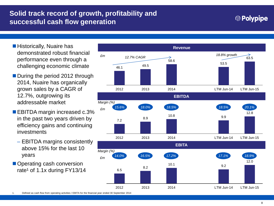# **Solid track record of growth, profitability and successful cash flow generation**

### 

- **Historically, Nuaire has** demonstrated robust financial performance even through a challenging economic climate
- During the period 2012 through 2014, Nuaire has organically grown sales by a CAGR of 12.7%, outgrowing its addressable market
- EBITDA margin increased c.3% in the past two years driven by efficiency gains and continuing investments
	- EBITDA margins consistently above 15% for the last 10 years
- Operating cash conversion rate<sup>1</sup> of 1.1x during  $FY13/14$







1. Defined as cash flow from operating activities / EBITA for the financial year ended 30 September 2014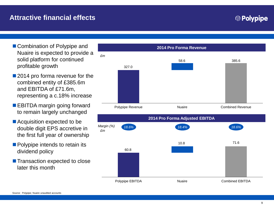# **Attractive financial effects**

- Combination of Polypipe and Nuaire is expected to provide a solid platform for continued profitable growth
- 2014 pro forma revenue for the combined entity of £385.6m and EBITDA of £71.6m, representing a c.18% increase
- **EBITDA margin going forward** to remain largely unchanged
- Acquisition expected to be double digit EPS accretive in the first full year of ownership
- **Polypipe intends to retain its** dividend policy
- **T** Transaction expected to close later this month



**<sup><sup>***©</sup>* Polypipe</sup></sup>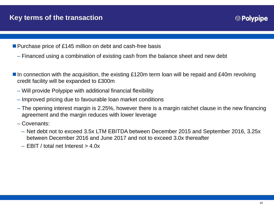- Purchase price of £145 million on debt and cash-free basis
	- Financed using a combination of existing cash from the balance sheet and new debt
- $\blacksquare$  In connection with the acquisition, the existing £120m term loan will be repaid and £40m revolving credit facility will be expanded to £300m
	- Will provide Polypipe with additional financial flexibility
	- Improved pricing due to favourable loan market conditions
	- The opening interest margin is 2.25%, however there is a margin ratchet clause in the new financing agreement and the margin reduces with lower leverage
	- Covenants:
		- Net debt not to exceed 3.5x LTM EBITDA between December 2015 and September 2016, 3.25x between December 2016 and June 2017 and not to exceed 3.0x thereafter
		- $-$  EBIT / total net Interest  $>$  4.0x